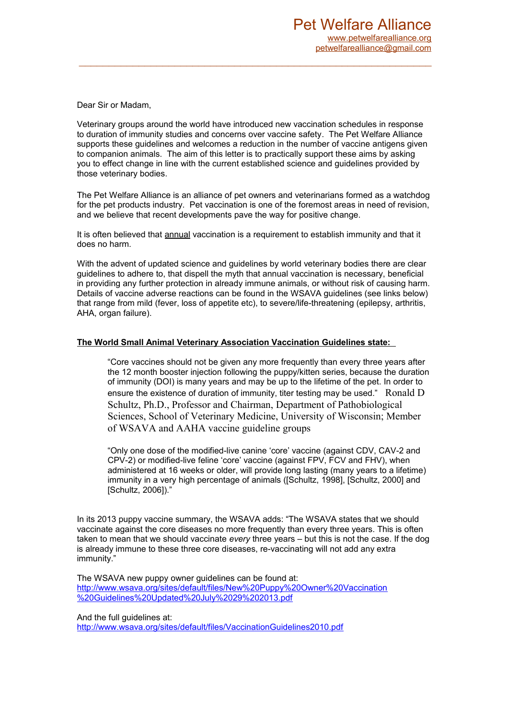Dear Sir or Madam,

Veterinary groups around the world have introduced new vaccination schedules in response to duration of immunity studies and concerns over vaccine safety. The Pet Welfare Alliance supports these guidelines and welcomes a reduction in the number of vaccine antigens given to companion animals. The aim of this letter is to practically support these aims by asking you to effect change in line with the current established science and guidelines provided by those veterinary bodies.

The Pet Welfare Alliance is an alliance of pet owners and veterinarians formed as a watchdog for the pet products industry. Pet vaccination is one of the foremost areas in need of revision, and we believe that recent developments pave the way for positive change.

It is often believed that annual vaccination is a requirement to establish immunity and that it does no harm.

With the advent of updated science and guidelines by world veterinary bodies there are clear guidelines to adhere to, that dispell the myth that annual vaccination is necessary, beneficial in providing any further protection in already immune animals, or without risk of causing harm. Details of vaccine adverse reactions can be found in the WSAVA guidelines (see links below) that range from mild (fever, loss of appetite etc), to severe/life-threatening (epilepsy, arthritis, AHA, organ failure).

# **The World Small Animal Veterinary Association Vaccination Guidelines state:**

"Core vaccines should not be given any more frequently than every three years after the 12 month booster injection following the puppy/kitten series, because the duration of immunity (DOI) is many years and may be up to the lifetime of the pet. In order to ensure the existence of duration of immunity, titer testing may be used." Ronald D Schultz, Ph.D., Professor and Chairman, Department of Pathobiological Sciences, School of Veterinary Medicine, University of Wisconsin; Member of WSAVA and AAHA vaccine guideline groups

"Only one dose of the modified-live canine 'core' vaccine (against CDV, CAV-2 and CPV-2) or modified-live feline 'core' vaccine (against FPV, FCV and FHV), when administered at 16 weeks or older, will provide long lasting (many years to a lifetime) immunity in a very high percentage of animals ([Schultz, 1998], [Schultz, 2000] and [Schultz, 2006])."

In its 2013 puppy vaccine summary, the WSAVA adds: "The WSAVA states that we should vaccinate against the core diseases no more frequently than every three years. This is often taken to mean that we should vaccinate *every* three years – but this is not the case. If the dog is already immune to these three core diseases, re-vaccinating will not add any extra immunity."

The WSAVA new puppy owner guidelines can be found at: [http://www.wsava.org/sites/default/files/New%20Puppy%20Owner%20Vaccination](http://www.wsava.org/sites/default/files/New%20Puppy%20Owner%20Vaccination%20Guidelines%20Updated%20July%2029%202013.pdf) [%20Guidelines%20Updated%20July%2029%202013.pdf](http://www.wsava.org/sites/default/files/New%20Puppy%20Owner%20Vaccination%20Guidelines%20Updated%20July%2029%202013.pdf)

And the full guidelines at: <http://www.wsava.org/sites/default/files/VaccinationGuidelines2010.pdf>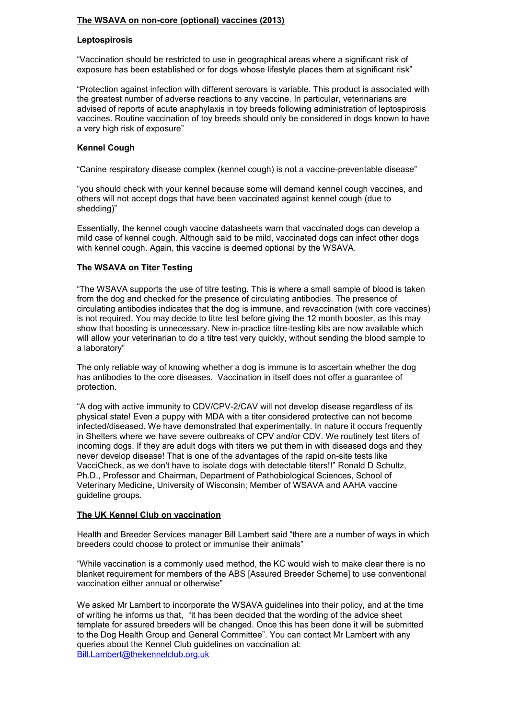# **The WSAVA on non-core (optional) vaccines (2013)**

#### **Leptospirosis**

"Vaccination should be restricted to use in geographical areas where a significant risk of exposure has been established or for dogs whose lifestyle places them at significant risk"

"Protection against infection with different serovars is variable. This product is associated with the greatest number of adverse reactions to any vaccine. In particular, veterinarians are advised of reports of acute anaphylaxis in toy breeds following administration of leptospirosis vaccines. Routine vaccination of toy breeds should only be considered in dogs known to have a very high risk of exposure"

#### **Kennel Cough**

"Canine respiratory disease complex (kennel cough) is not a vaccine-preventable disease"

"you should check with your kennel because some will demand kennel cough vaccines, and others will not accept dogs that have been vaccinated against kennel cough (due to shedding)"

Essentially, the kennel cough vaccine datasheets warn that vaccinated dogs can develop a mild case of kennel cough. Although said to be mild, vaccinated dogs can infect other dogs with kennel cough. Again, this vaccine is deemed optional by the WSAVA.

# **The WSAVA on Titer Testing**

"The WSAVA supports the use of titre testing. This is where a small sample of blood is taken from the dog and checked for the presence of circulating antibodies. The presence of circulating antibodies indicates that the dog is immune, and revaccination (with core vaccines) is not required. You may decide to titre test before giving the 12 month booster, as this may show that boosting is unnecessary. New in-practice titre-testing kits are now available which will allow your veterinarian to do a titre test very quickly, without sending the blood sample to a laboratory"

The only reliable way of knowing whether a dog is immune is to ascertain whether the dog has antibodies to the core diseases. Vaccination in itself does not offer a guarantee of protection.

"A dog with active immunity to CDV/CPV-2/CAV will not develop disease regardless of its physical state! Even a puppy with MDA with a titer considered protective can not become infected/diseased. We have demonstrated that experimentally. In nature it occurs frequently in Shelters where we have severe outbreaks of CPV and/or CDV. We routinely test titers of incoming dogs. If they are adult dogs with titers we put them in with diseased dogs and they never develop disease! That is one of the advantages of the rapid on-site tests like VacciCheck, as we don't have to isolate dogs with detectable titers!!" Ronald D Schultz, Ph.D., Professor and Chairman, Department of Pathobiological Sciences, School of Veterinary Medicine, University of Wisconsin; Member of WSAVA and AAHA vaccine guideline groups.

#### **The UK Kennel Club on vaccination**

Health and Breeder Services manager Bill Lambert said "there are a number of ways in which breeders could choose to protect or immunise their animals"

"While vaccination is a commonly used method, the KC would wish to make clear there is no blanket requirement for members of the ABS [Assured Breeder Scheme] to use conventional vaccination either annual or otherwise"

We asked Mr Lambert to incorporate the WSAVA guidelines into their policy, and at the time of writing he informs us that, "it has been decided that the wording of the advice sheet template for assured breeders will be changed. Once this has been done it will be submitted to the Dog Health Group and General Committee". You can contact Mr Lambert with any queries about the Kennel Club guidelines on vaccination at: [Bill.Lambert@thekennelclub.org.uk](mailto:Bill.Lambert@thekennelclub.org.uk)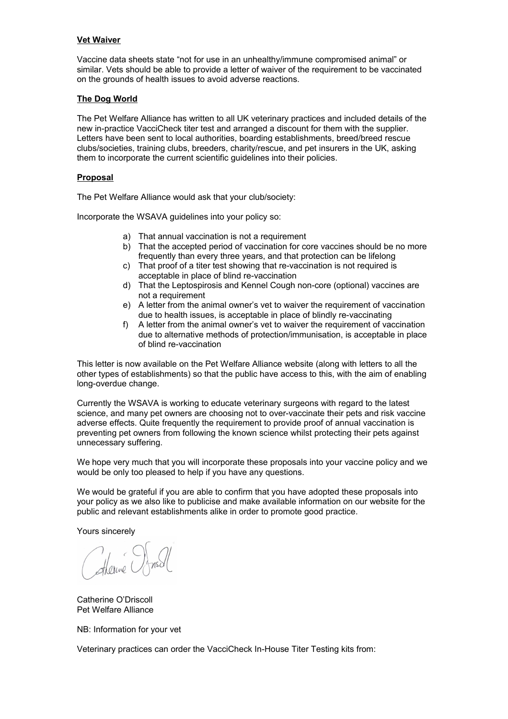# **Vet Waiver**

Vaccine data sheets state "not for use in an unhealthy/immune compromised animal" or similar. Vets should be able to provide a letter of waiver of the requirement to be vaccinated on the grounds of health issues to avoid adverse reactions.

#### **The Dog World**

The Pet Welfare Alliance has written to all UK veterinary practices and included details of the new in-practice VacciCheck titer test and arranged a discount for them with the supplier. Letters have been sent to local authorities, boarding establishments, breed/breed rescue clubs/societies, training clubs, breeders, charity/rescue, and pet insurers in the UK, asking them to incorporate the current scientific guidelines into their policies.

# **Proposal**

The Pet Welfare Alliance would ask that your club/society:

Incorporate the WSAVA guidelines into your policy so:

- a) That annual vaccination is not a requirement
- b) That the accepted period of vaccination for core vaccines should be no more frequently than every three years, and that protection can be lifelong
- c) That proof of a titer test showing that re-vaccination is not required is acceptable in place of blind re-vaccination
- d) That the Leptospirosis and Kennel Cough non-core (optional) vaccines are not a requirement
- e) A letter from the animal owner's vet to waiver the requirement of vaccination due to health issues, is acceptable in place of blindly re-vaccinating
- f) A letter from the animal owner's vet to waiver the requirement of vaccination due to alternative methods of protection/immunisation, is acceptable in place of blind re-vaccination

This letter is now available on the Pet Welfare Alliance website (along with letters to all the other types of establishments) so that the public have access to this, with the aim of enabling long-overdue change.

Currently the WSAVA is working to educate veterinary surgeons with regard to the latest science, and many pet owners are choosing not to over-vaccinate their pets and risk vaccine adverse effects. Quite frequently the requirement to provide proof of annual vaccination is preventing pet owners from following the known science whilst protecting their pets against unnecessary suffering.

We hope very much that you will incorporate these proposals into your vaccine policy and we would be only too pleased to help if you have any questions.

We would be grateful if you are able to confirm that you have adopted these proposals into your policy as we also like to publicise and make available information on our website for the public and relevant establishments alike in order to promote good practice.

Yours sincerely

Sterne O

Catherine O'Driscoll Pet Welfare Alliance

NB: Information for your vet

Veterinary practices can order the VacciCheck In-House Titer Testing kits from: